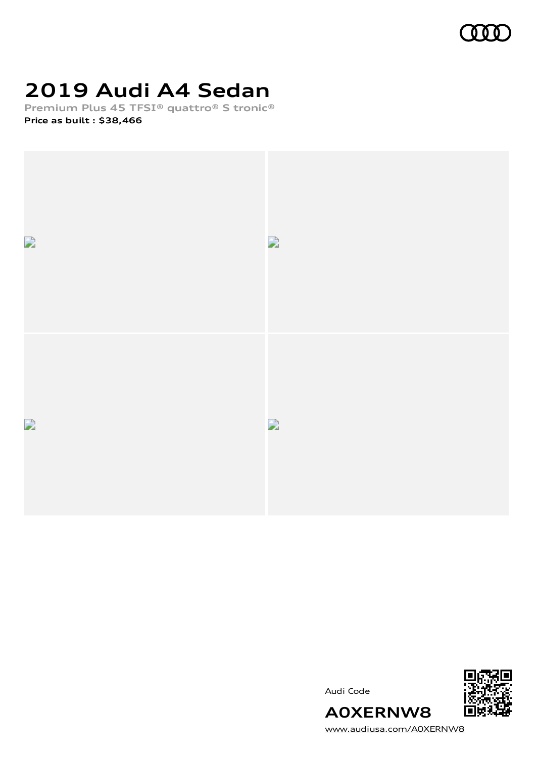

# **2019 Audi A4 Sedan**

**Premium Plus 45 TFSI® quattro® S tronic® Price as built [:](#page-8-0) \$38,466**



Audi Code



[www.audiusa.com/A0XERNW8](https://www.audiusa.com/A0XERNW8)

**A0XERNW8**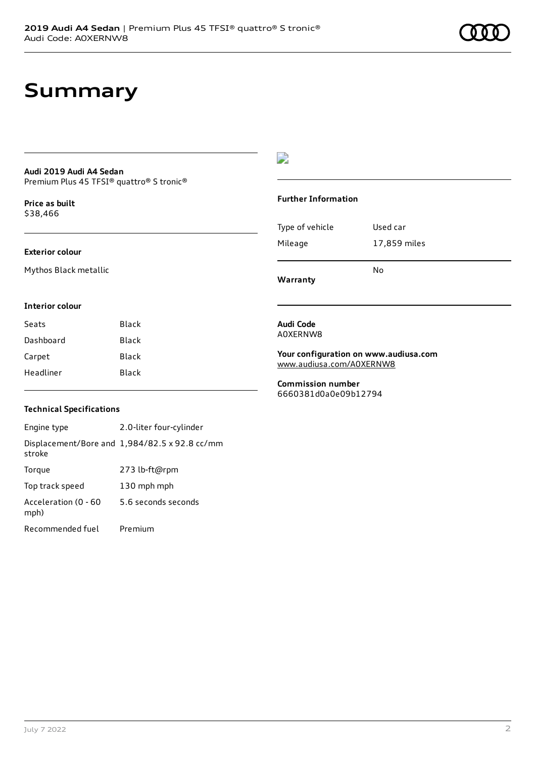### **Summary**

#### **Audi 2019 Audi A4 Sedan** Premium Plus 45 TFSI® quattro® S tronic®

**Price as buil[t](#page-8-0)** \$38,466

#### **Exterior colour**

Mythos Black metallic

#### D

#### **Further Information**

| Warranty        |              |
|-----------------|--------------|
|                 | N٥           |
| Mileage         | 17,859 miles |
|                 |              |
| Type of vehicle | Used car     |

#### **Interior colour**

| Black |
|-------|
| Black |
| Black |
| Black |
|       |

#### **Audi Code** A0XERNW8

**Your configuration on www.audiusa.com** [www.audiusa.com/A0XERNW8](https://www.audiusa.com/A0XERNW8)

**Commission number** 6660381d0a0e09b12794

#### **Technical Specifications**

Engine type 2.0-liter four-cylinder Displacement/Bore and 1,984/82.5 x 92.8 cc/mm stroke Torque 273 lb-ft@rpm Top track speed 130 mph mph Acceleration (0 - 60 mph) 5.6 seconds seconds Recommended fuel Premium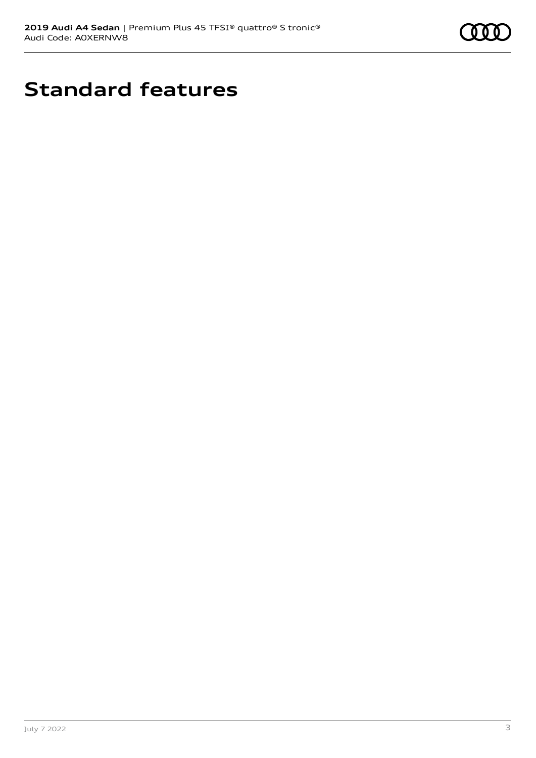

# **Standard features**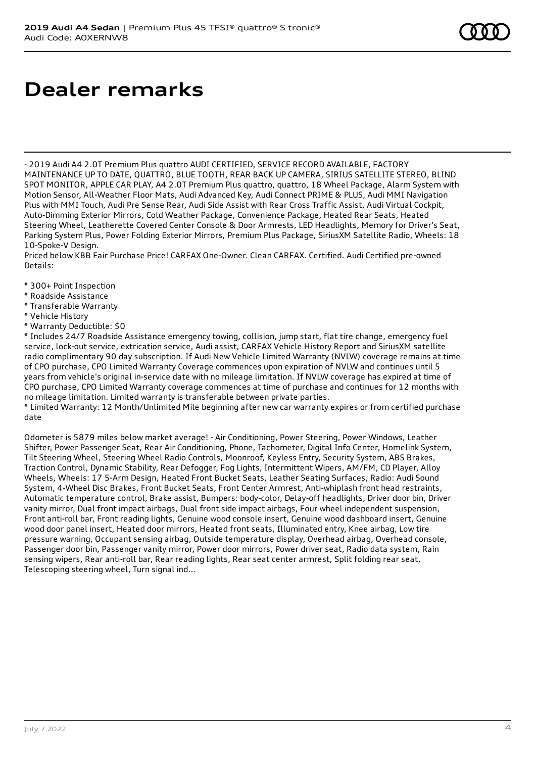## **Dealer remarks**

- 2019 Audi A4 2.0T Premium Plus quattro AUDI CERTIFIED, SERVICE RECORD AVAILABLE, FACTORY MAINTENANCE UP TO DATE, QUATTRO, BLUE TOOTH, REAR BACK UP CAMERA, SIRIUS SATELLITE STEREO, BLIND SPOT MONITOR, APPLE CAR PLAY, A4 2.0T Premium Plus quattro, quattro, 18 Wheel Package, Alarm System with Motion Sensor, All-Weather Floor Mats, Audi Advanced Key, Audi Connect PRIME & PLUS, Audi MMI Navigation Plus with MMI Touch, Audi Pre Sense Rear, Audi Side Assist with Rear Cross Traffic Assist, Audi Virtual Cockpit, Auto-Dimming Exterior Mirrors, Cold Weather Package, Convenience Package, Heated Rear Seats, Heated Steering Wheel, Leatherette Covered Center Console & Door Armrests, LED Headlights, Memory for Driver's Seat, Parking System Plus, Power Folding Exterior Mirrors, Premium Plus Package, SiriusXM Satellite Radio, Wheels: 18 10-Spoke-V Design.

Priced below KBB Fair Purchase Price! CARFAX One-Owner. Clean CARFAX. Certified. Audi Certified pre-owned Details:

- \* 300+ Point Inspection
- \* Roadside Assistance
- \* Transferable Warranty
- \* Vehicle History
- \* Warranty Deductible: \$0

\* Includes 24/7 Roadside Assistance emergency towing, collision, jump start, flat tire change, emergency fuel service, lock-out service, extrication service, Audi assist, CARFAX Vehicle History Report and SiriusXM satellite radio complimentary 90 day subscription. If Audi New Vehicle Limited Warranty (NVLW) coverage remains at time of CPO purchase, CPO Limited Warranty Coverage commences upon expiration of NVLW and continues until 5 years from vehicle's original in-service date with no mileage limitation. If NVLW coverage has expired at time of CPO purchase, CPO Limited Warranty coverage commences at time of purchase and continues for 12 months with no mileage limitation. Limited warranty is transferable between private parties.

\* Limited Warranty: 12 Month/Unlimited Mile beginning after new car warranty expires or from certified purchase date

Odometer is 5879 miles below market average! - Air Conditioning, Power Steering, Power Windows, Leather Shifter, Power Passenger Seat, Rear Air Conditioning, Phone, Tachometer, Digital Info Center, Homelink System, Tilt Steering Wheel, Steering Wheel Radio Controls, Moonroof, Keyless Entry, Security System, ABS Brakes, Traction Control, Dynamic Stability, Rear Defogger, Fog Lights, Intermittent Wipers, AM/FM, CD Player, Alloy Wheels, Wheels: 17 5-Arm Design, Heated Front Bucket Seats, Leather Seating Surfaces, Radio: Audi Sound System, 4-Wheel Disc Brakes, Front Bucket Seats, Front Center Armrest, Anti-whiplash front head restraints, Automatic temperature control, Brake assist, Bumpers: body-color, Delay-off headlights, Driver door bin, Driver vanity mirror, Dual front impact airbags, Dual front side impact airbags, Four wheel independent suspension, Front anti-roll bar, Front reading lights, Genuine wood console insert, Genuine wood dashboard insert, Genuine wood door panel insert, Heated door mirrors, Heated front seats, Illuminated entry, Knee airbag, Low tire pressure warning, Occupant sensing airbag, Outside temperature display, Overhead airbag, Overhead console, Passenger door bin, Passenger vanity mirror, Power door mirrors, Power driver seat, Radio data system, Rain sensing wipers, Rear anti-roll bar, Rear reading lights, Rear seat center armrest, Split folding rear seat, Telescoping steering wheel, Turn signal ind...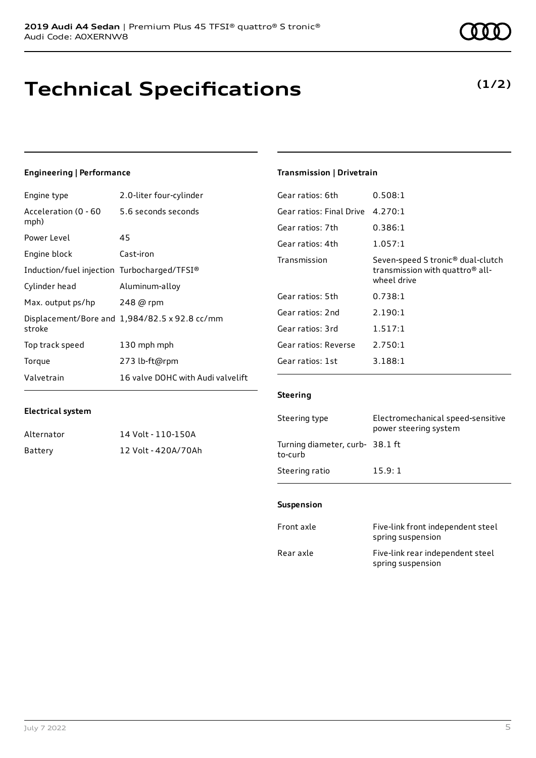### **Technical Specifications**

July 7 2022 5

### **Engineering | Performance**

**Electrical system**

Engine type 2.0-liter four-cylinder

Alternator 14 Volt - 110-150A Battery 12 Volt - 420A/70Ah

| Acceleration (0 - 60 5.6 seconds seconds<br>mph) |                                               |
|--------------------------------------------------|-----------------------------------------------|
| Power Level                                      | 45                                            |
| Engine block                                     | Cast-iron                                     |
| Induction/fuel injection Turbocharged/TFSI®      |                                               |
| Cylinder head                                    | Aluminum-alloy                                |
| Max. output ps/hp                                | 248 @ rpm                                     |
| stroke                                           | Displacement/Bore and 1,984/82.5 x 92.8 cc/mm |
| Top track speed                                  | 130 mph mph                                   |
| Torque                                           | 273 lb-ft@rpm                                 |
| Valvetrain                                       | 16 valve DOHC with Audi valvelift             |

#### **Transmission | Drivetrain**

| Gear ratios: 6th         | 0.508:1                                                                                                     |
|--------------------------|-------------------------------------------------------------------------------------------------------------|
| Gear ratios: Final Drive | 4.270:1                                                                                                     |
| Gear ratios: 7th         | 0.386:1                                                                                                     |
| Gear ratios: 4th         | 1.057:1                                                                                                     |
| Transmission             | Seven-speed S tronic <sup>®</sup> dual-clutch<br>transmission with quattro <sup>®</sup> all-<br>wheel drive |
| Gear ratios: 5th         | 0.738:1                                                                                                     |
| Gear ratios: 2nd         | 2.190:1                                                                                                     |
| Gear ratios: 3rd         | 1.517:1                                                                                                     |
| Gear ratios: Reverse     | 2.750:1                                                                                                     |
| Gear ratios: 1st         | 3.188:1                                                                                                     |

#### **Steering**

| Steering type                             | Electromechanical speed-sensitive<br>power steering system |
|-------------------------------------------|------------------------------------------------------------|
| Turning diameter, curb-38.1 ft<br>to-curb |                                                            |
| Steering ratio                            | 15.9:1                                                     |

#### **Suspension**

| Front axle | Five-link front independent steel<br>spring suspension |
|------------|--------------------------------------------------------|
| Rear axle  | Five-link rear independent steel<br>spring suspension  |

### **(1/2)**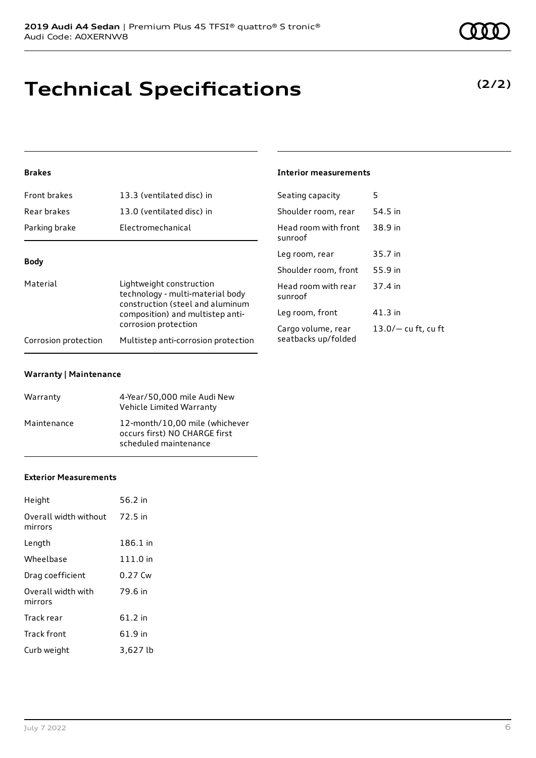# **Technical Specifications**

### **Brakes**

| Front brakes                                                                                                            | 13.3 (ventilated disc) in                 | Seating capacity                | 5         |
|-------------------------------------------------------------------------------------------------------------------------|-------------------------------------------|---------------------------------|-----------|
| Rear brakes                                                                                                             | 13.0 (ventilated disc) in                 | Shoulder room, rear             | 54.5 in   |
| Parking brake                                                                                                           | Electromechanical                         | Head room with front<br>sunroof | 38.9 in   |
|                                                                                                                         |                                           | Leg room, rear                  | 35.7 in   |
| <b>Body</b>                                                                                                             |                                           | Shoulder room, front            | 55.9 in   |
| Material<br>Lightweight construction<br>technology - multi-material body<br>construction (steel and aluminum            |                                           | Head room with rear<br>sunroof  | 37.4 in   |
| composition) and multistep anti-<br>corrosion protection<br>Multistep anti-corrosion protection<br>Corrosion protection |                                           | Leg room, front                 | $41.3$ in |
|                                                                                                                         | Cargo volume, rear<br>seatbacks up/folded | $13.0/-$ cu ft, cu ft           |           |
|                                                                                                                         |                                           |                                 |           |

**Interior measurements**

#### **Warranty | Maintenance**

| Warranty    | 4-Year/50,000 mile Audi New<br>Vehicle Limited Warranty                                  |
|-------------|------------------------------------------------------------------------------------------|
| Maintenance | 12-month/10.00 mile (whichever<br>occurs first) NO CHARGE first<br>scheduled maintenance |

#### **Exterior Measurements**

| Height                           | 56.2 in   |
|----------------------------------|-----------|
| Overall width without<br>mirrors | 72.5 in   |
| Length                           | 186.1 in  |
| Wheelbase                        | 111.0 in  |
| Drag coefficient                 | 0.27 Cw   |
| Overall width with<br>mirrors    | 79.6 in   |
| Track rear                       | $61.2$ in |
| Track front                      | 61.9 in   |
| Curb weight                      | 3,627 lb  |

### **(2/2)**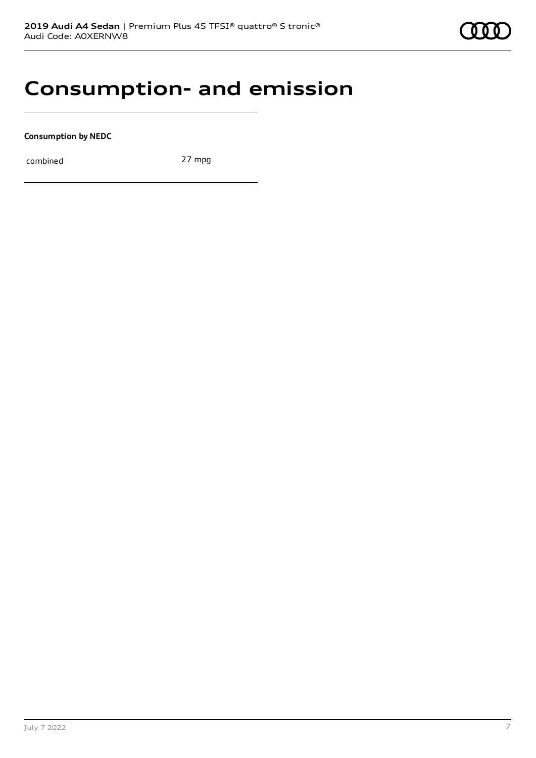### **Consumption- and emission**

**Consumption by NEDC**

combined 27 mpg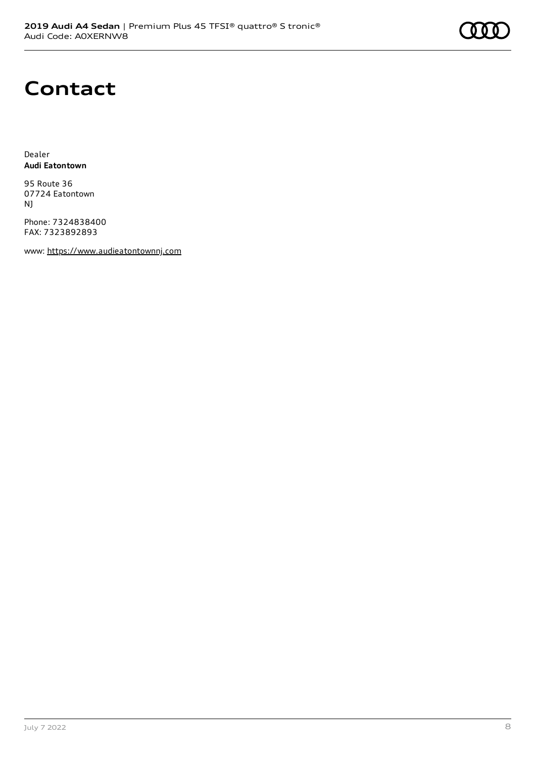### **Contact**

Dealer **Audi Eatontown**

95 Route 36 07724 Eatontown NJ

Phone: 7324838400 FAX: 7323892893

www: [https://www.audieatontownnj.com](https://www.audieatontownnj.com/)